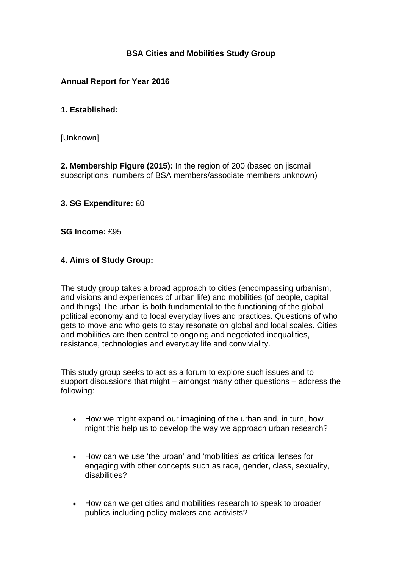# **BSA Cities and Mobilities Study Group**

### **Annual Report for Year 2016**

### **1. Established:**

[Unknown]

**2. Membership Figure (2015):** In the region of 200 (based on jiscmail subscriptions; numbers of BSA members/associate members unknown)

#### **3. SG Expenditure:** £0

**SG Income:** £95

### **4. Aims of Study Group:**

The study group takes a broad approach to cities (encompassing urbanism, and visions and experiences of urban life) and mobilities (of people, capital and things).The urban is both fundamental to the functioning of the global political economy and to local everyday lives and practices. Questions of who gets to move and who gets to stay resonate on global and local scales. Cities and mobilities are then central to ongoing and negotiated inequalities, resistance, technologies and everyday life and conviviality.

This study group seeks to act as a forum to explore such issues and to support discussions that might – amongst many other questions – address the following:

- How we might expand our imagining of the urban and, in turn, how might this help us to develop the way we approach urban research?
- How can we use 'the urban' and 'mobilities' as critical lenses for engaging with other concepts such as race, gender, class, sexuality, disabilities?
- How can we get cities and mobilities research to speak to broader publics including policy makers and activists?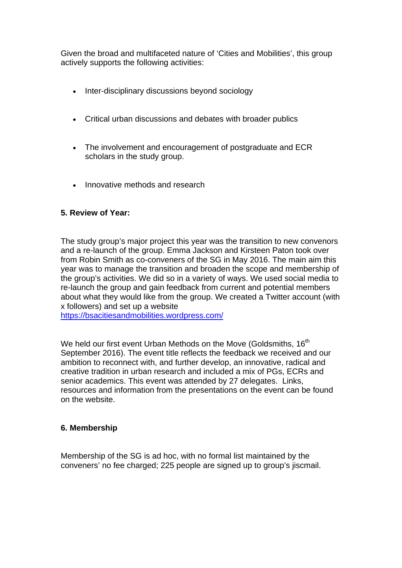Given the broad and multifaceted nature of 'Cities and Mobilities', this group actively supports the following activities:

- Inter-disciplinary discussions beyond sociology
- Critical urban discussions and debates with broader publics
- The involvement and encouragement of postgraduate and ECR scholars in the study group.
- Innovative methods and research

### **5. Review of Year:**

The study group's major project this year was the transition to new convenors and a re-launch of the group. Emma Jackson and Kirsteen Paton took over from Robin Smith as co-conveners of the SG in May 2016. The main aim this year was to manage the transition and broaden the scope and membership of the group's activities. We did so in a variety of ways. We used social media to re-launch the group and gain feedback from current and potential members about what they would like from the group. We created a Twitter account (with x followers) and set up a website

https://bsacitiesandmobilities.wordpress.com/

We held our first event Urban Methods on the Move (Goldsmiths, 16<sup>th</sup>) September 2016). The event title reflects the feedback we received and our ambition to reconnect with, and further develop, an innovative, radical and creative tradition in urban research and included a mix of PGs, ECRs and senior academics. This event was attended by 27 delegates. Links, resources and information from the presentations on the event can be found on the website.

#### **6. Membership**

Membership of the SG is ad hoc, with no formal list maintained by the conveners' no fee charged; 225 people are signed up to group's jiscmail.